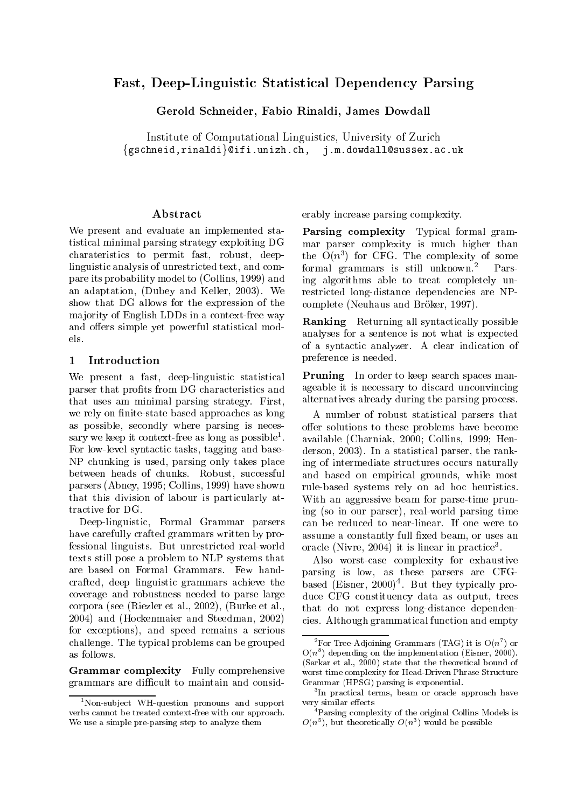# Fast, Deep-Linguistic Statistical Dependency Parsing

Gerold Schneider, Fabio Rinaldi, James Dowdall

Institute of Computational Linguistics, University of Zurich  $\{gschneid, rinaldi\}@ifi.unizh.ch, j.m.dowdall@sussex.ac.uk$ 

#### Abstract

We present and evaluate an implemented statistical minimal parsing strategy exploiting DG charateristics to permit fast, robust, deeplinguistic analysis of unrestricted text, and compare its probability model to (Collins, 1999) and an adaptation, (Dubey and Keller, 2003). We show that DG allows for the expression of the maiority of English LDDs in a context-free way and offers simple yet powerful statistical models.

## 1 Introduction

We present a fast, deep-linguistic statistical parser that profits from DG characteristics and that uses am minimal parsing strategy. First, we rely on finite-state based approaches as long as possible, secondly where parsing is necessary we keep it context-free as long as possible<sup>1</sup>. For low-level syntactic tasks, tagging and base-NP chunking is used, parsing only takes place between heads of chunks. Robust, successful parsers (Abney, 1995; Collins, 1999) have shown that this division of labour is particularly attractive for DG.

Deep-linguistic, Formal Grammar parsers have carefully crafted grammars written by professional linguists. But unrestricted real-world texts still pose a problem to NLP systems that are based on Formal Grammars. Few handcrafted, deep linguistic grammars achieve the coverage and robustness needed to parse large corpora (see (Riezler et al., 2002), (Burke et al., 2004) and (Hockenmaier and Steedman, 2002) for exceptions), and speed remains a serious challenge. The typical problems can be grouped as follows.

Grammar complexity Fully comprehensive grammars are difficult to maintain and considerably increase parsing complexity.

Parsing complexity Typical formal grammar parser complexity is much higher than the  $O(n^2)$  for CrG. The complexity of some formal grammars is still unknown.2 Parsing algorithms able to treat completely unrestricted long-distance dependencies are NPcomplete (Neuhaus and Bröker, 1997).

Ranking Returning all syntactically possible analyses for a sentence is not what is expected of a syntactic analyzer. A clearindication of preference is needed.

Pruning In order to keep search spaces manageable it is necessary to discard unconvincing alternatives already during the parsing process.

. available (Charniak, 2000; Collins, 1999; Hen-A number of robust statistical parsers that offer solutions to these problems have become derson, 2003). In a statistical parser, the ranking of intermediate structures occurs naturally and based on empirical grounds, while most rule-based systems rely on ad hoc heuristics. With an aggressive beam for parse-time pruning (so in our parser), real-world parsing time can be reduced to near-linear. If one were to assume a constantly full fixed beam, or uses an oracie (Nivre, 2004) it is linear in practice<sup>-</sup>.

Also worst-case complexity for exhaustive parsing is low, as these parsers are CFGbased (Eisner, 2000)4 . But they typically produce CFG constituency data as output, trees that do not express long-distance dependencies. Although grammatical function and empty

<sup>&</sup>lt;sup>1</sup>Non-subject WH-question pronouns and support verbs cannot be treated context-free with our approach. We use a simple pre-parsing step to analyze them

For free-Adjoining Grammars (TAG) it is  $O(n^2)$  or  $O(n^2)$  depending on the implementation (Eisner, 2000). (Sarkar et al., 2000) state that the theoretical bound of worst time complexity for Head-Driven Phrase Structure Grammar (HPSG) parsing is exponential.

<sup>3</sup> In practical terms, beam or oracle approach have very similar effects

<sup>4</sup>Parsing complexity of the original Collins Models is  $O(n^+)$ , but theoretically  $O(n^+)$  would be possible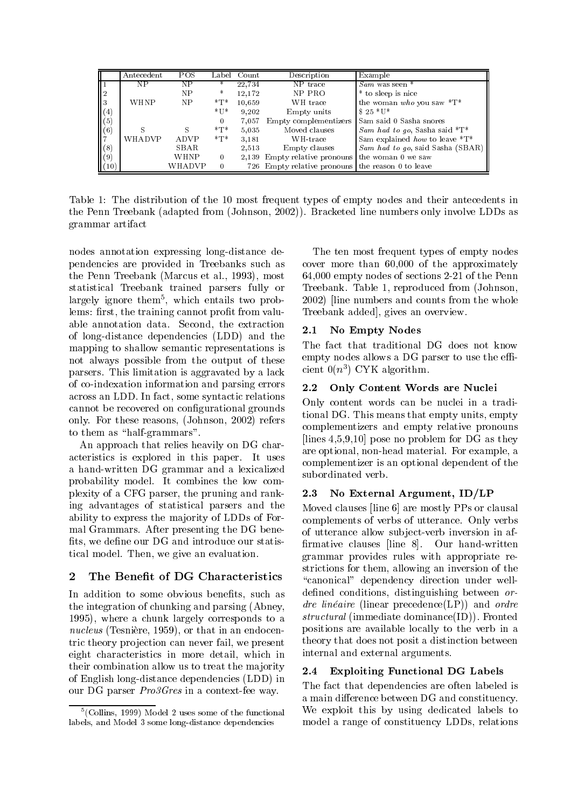|                   | Antecedent | POS.   |                   | Label Count | Description                                       | Example                                       |
|-------------------|------------|--------|-------------------|-------------|---------------------------------------------------|-----------------------------------------------|
|                   | NΡ         | NP     | *                 | 22.734      | NP trace                                          | $Sam$ was seen $*$                            |
|                   |            | NP     | *                 | 12.172      | NP PRO                                            | * to sleep is nice                            |
|                   | WHNP       | NP     | $*T*$             | 10.659      | WH trace                                          | the woman who you saw $T^*$                   |
| $\left( 4\right)$ |            |        | $*_{\mathrm{U}*}$ | 9.202       | Empty units                                       | $$25 * U*$                                    |
| (5)               |            |        | $\Omega$          | 7,057       |                                                   | Empty complementizers Sam said 0 Sasha snores |
| (6)               | S          | S      | $*T*$             | 5.035       | Moved clauses                                     | Sam had to go, Sasha said $^*T^*$             |
|                   | WHADVP     | ADVP   | $*T*$             | 3.181       | WH-trace                                          | Sam explained how to leave *T*                |
| (8)               |            | SBAR   |                   | 2,513       | Empty clauses                                     | Sam had to go, said Sasha (SBAR)              |
| (9)               |            | WHNP   | $\theta$          |             | 2,139 Empty relative pronouns the woman 0 we saw  |                                               |
| (10)              |            | WHADVP |                   |             | 726 Empty relative pronouns the reason 0 to leave |                                               |

Table 1: The distribution of the 10 most frequent types of empty nodes and their antecedents in the Penn Treebank (adapted from (Johnson, 2002)). Bracketed line numbers only involve LDDs as grammar artifact

nodes annotation expressing long-distance dependencies are provided in Treebanks such as the Penn Treebank (Marcus et al., 1993), most statistical Treebank trained parsers fully or largely ignore them<sup>5</sup> , which entails two problems: first, the training cannot profit from valuable annotation data. Second, the extraction  $\begin{bmatrix} 1 & 1 \end{bmatrix}$   $\begin{bmatrix} 1 & 1 \end{bmatrix}$   $\begin{bmatrix} 1 & 1 \end{bmatrix}$   $\begin{bmatrix} 1 & 1 \end{bmatrix}$   $\begin{bmatrix} 1 & 1 \end{bmatrix}$   $\begin{bmatrix} 1 & 1 \end{bmatrix}$   $\begin{bmatrix} 1 & 1 \end{bmatrix}$   $\begin{bmatrix} 1 & 1 \end{bmatrix}$ of long-distance dependencies (LDD) and the mapping to shallow semantic representations is not always possible from the output of these parsers. This limitation is aggravated by a lack of co-indexation information and parsing errors 2.2 across an LDD. In fact, some syntactic relations cannot be recovered on configurational grounds only. For these reasons, (Johnson, 2002) refers to them as "half-grammars".

An approach that relies heavily on DG characteristics is explored in this paper. It uses a hand-written DG grammar and a lexicalized probability model. It combines the low complexity of a CFG parser, the pruning and ranking advantages of statistical parsers and the ability to express the majority of LDDs of Formal Grammars. After presenting the DG bene fits, we define our DG and introduce our statistical model. Then, we give an evaluation.

# 2 The Benefit of DG Characteristics

In addition to some obvious benefits, such as the integration of chunking and parsing (Abney, 1995), where a chunk largely corresponds to a nucleus (Tesnière, 1959), or that in an endocentric theory projection can never fail, we present eight characteristics in more detail, which in their combination allow us to treat the majority  $2.4$ of English long-distance dependencies (LDD) in our DG parser Pro3Gres in a context-fee way.

The ten most frequent types of empty nodes cover more than 60,000 of the approximately 64,000 empty nodes of sections 2-21 of the Penn Treebank. Table 1, reproduced from (Johnson, 2002) [line numbers and counts from the whole Treebank added], gives an overview.

## No Empty Nodes

The fact that traditional DG does not know empty nodes allows a DG parser to use the  $\mathrm{eff}$ - $\text{crem } \text{ } \text{O}(n^2) \cup \text{rK} \text{ algorithm.}$ 

## Only Content Words are Nuclei

Only content words can be nuclei in a traditional DG. This means that empty units, empty complementizers and empty relative pronouns [lines 4,5,9,10] pose no problem for DG as they are optional, non-head material. For example, a complementizer is an optional dependent of the subordinated verb.

# 2.3 No External Argument, ID/LP

Moved clauses [line 6] are mostly PPs or clausal complements of verbs of utterance. Only verbs of utterance allow sub ject-verb inversion in af rmative clauses [line 8]. Our hand-written grammar provides rules with appropriate restrictions for them, allowing an inversion of the "canonical" dependency direction under welldefined conditions, distinguishing between ordre linéaire (linear precedence(LP)) and ordre structural (immediate dominance(ID)). Fronted positions are available locally to the verb in a theory that does not posit a distinction between internal and external arguments.

## **Exploiting Functional DG Labels**

The fact that dependencies are often labeled is a main difference between DG and constituency. We exploit this by using dedicated labels to model a range of constituency LDDs, relations

<sup>5</sup> (Collins, 1999) Model 2 uses some of the functional labels, and Model 3 some long-distance dependencies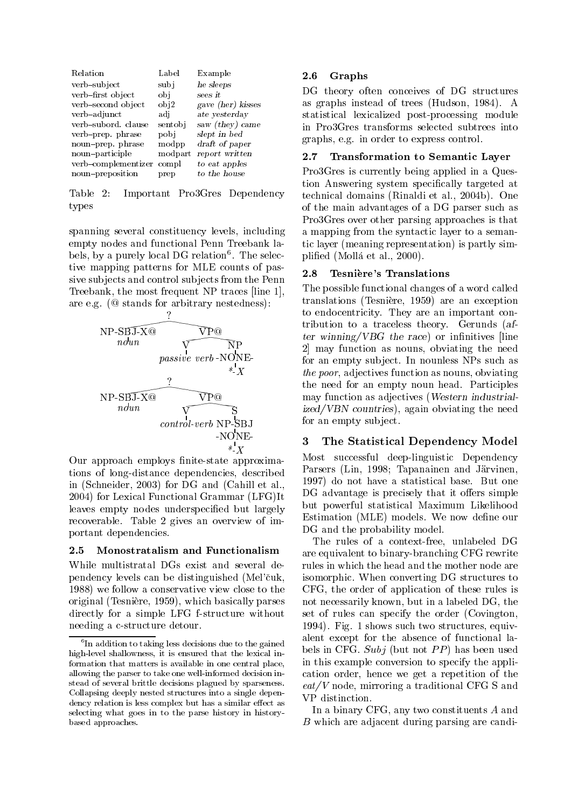| Relation            | Label   | Example           |
|---------------------|---------|-------------------|
| verb-subject        | subi    | he sleeps         |
| verb-first object   | obi     | sees it           |
| verb-second object  | obj2    | gave (her) kisses |
| verb-adjunct        | adi     | ate yesterday     |
| verb-subord, clause | sentobi | saw (they) came   |
| verb-prep. phrase   | pobi    | slept in bed      |
| noun-prep. phrase   | modpp   | draft of paper    |
| noun-participle     | modpart | report written    |
| verb-complementizer | compl   | to eat apples     |
| noun-preposition    | prep    | to the house      |

Table 2: Important Pro3Gres Dependency types

spanning several constituency levels, including empty nodes and functional Penn Treebank labels, by a purely local DG relation T. The selective mapping patterns for MLE counts of passive subjects and control subjects from the Penn Treebank, the most frequent NP traces [line 1], are e.g. (@ stands for arbitrary nestedness):



Our approach employs finite-state approximations of long-distance dependencies, described in (Schneider, 2003) for DG and (Cahill et al., 2004) for Lexical Functional Grammar (LFG)It leaves empty nodes underspecified but largely recoverable. Table 2 gives an overview of important dependencies.

## 2.5 Monostratalism and Functionalism

While multistratal DGs exist and several dependency levels can be distinguished (Mel'cuk, 1988) we follow a conservative view close to the original (Tesniere, 1959), which basically parses directly for a simple LFG f-structure without needing a c-structure detour.

## 2.6 Graphs

DG theory often conceives of DG structures as graphs instead of trees (Hudson, 1984). A statistical lexicalized post-processing module in Pro3Gres transforms selected subtrees into graphs, e.g. in order to express control.

## 2.7 Transformation to Semantic Layer

Pro3Gres is currently being applied in a Question Answering system specically targeted at technical domains (Rinaldi et al., 2004b). One of the main advantages of a DG parser such as Pro3Gres over other parsing approaches is that a mapping from the syntactic layer to a semantic layer (meaning representation) is partly simplied (Molla et al., 2000).

#### 2.8 Tesniere's Translations

The possible functional changes of a word called translations (Tesniere, 1959) are an exception to endocentricity. They are an important contribution to a traceless theory. Gerunds (after wi<del>nnitives a</del> reach the race of interesting and in the race  $\sim$ 2] may function as nouns, obviating the need for an empty subject. In nounless NPs such as the poor, adjectives function as nouns, obviating the need for an empty noun head. Participles may function as adjectives (Western industrialized/VBN countries), again obviating the need for an empty subject.

## 3 The Statistical Dependency Model

Most successful deep-linguistic Dependency Parsers (Lin, 1998; Tapanainen and Järvinen, 1997) do not have a statistical base. But one DG advantage is precisely that it offers simple but powerful statistical Maximum Likelihood Estimation (MLE) models. We now define our DG and the probability model.

The rules of a context-free, unlabeled DG are equivalent to binary-branching CFG rewrite rules in which the head and the mother node are isomorphic. When converting DG structures to CFG, the order of application of these rules is not necessarily known, but in a labeled DG, the set of rules can specify the order (Covington, 1994). Fig. 1 shows such two structures, equivalent except for the absence of functional labels in CFG. Subj (but not  $PP$ ) has been used in this example conversion to specify the application order, hence we get a repetition of the  $eat/V$  node, mirroring a traditional CFG S and VP distinction.

In a binary CFG, any two constituents A and B which are adjacent during parsing are candi-

The addition to taking less decisions due to the gained control of  $\mathbf{I}$ high-level shallowness, it is ensured that the lexical information that matters is available in one central place, allowing the parser to take one well-informed decision instead of several brittle decisions plagued by sparseness. Collapsing deeply nested structures into a single dependency relation is less complex but has a similar effect as selecting what goes in to the parse history in historybased approaches.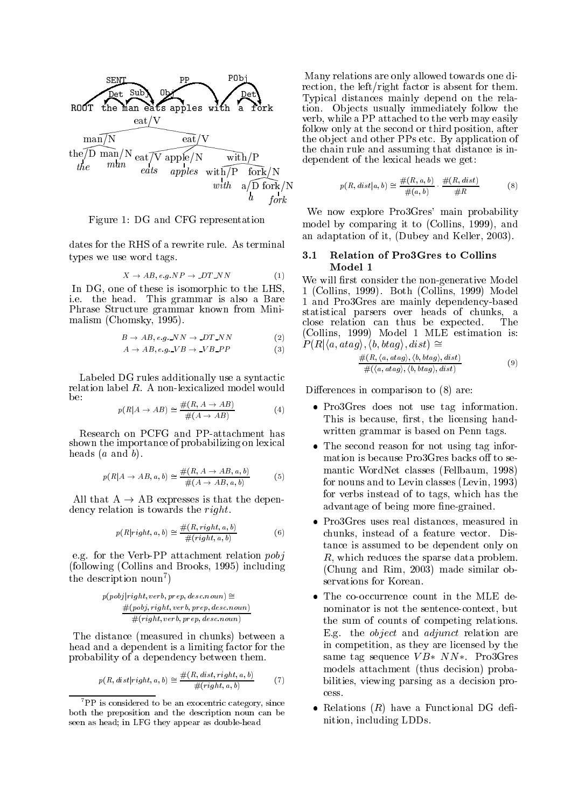

Figure 1: DG and CFG representation

dates for the RHS of a rewrite rule. As terminal types we use word tags.

$$
X \to AB, e.g.NP \to D T_N N \tag{1}
$$

In DG, one of these is isomorphic to the LHS, i.e. the head. This grammar is also a Bare Phrase Structure grammar known from Minimalism (Chomsky, 1995).

$$
B \to AB, e.g. \_NN \to \_DT\_NN
$$
 (2)

$$
A \to AB, e.g. \_VB \to \_VB\_PP
$$
 (3)

Labeled DG rules additionally use a syntactic relation label R. A non-lexicalized model would be:

$$
p(R|A \to AB) \cong \frac{\#(R, A \to AB)}{\#(A \to AB)}
$$
(4)

Research on PCFG and PP-attachment has shown the importance of probabilizing on lexical heads  $(a \text{ and } b)$ .

$$
p(R|A \to AB, a, b) \cong \frac{\#(R, A \to AB, a, b)}{\#(A \to AB, a, b)}
$$
(5)

All that  $A \rightarrow AB$  expresses is that the dependency relation is towards the right.

$$
p(R|right, a, b) \cong \frac{\#(R, right, a, b)}{\#(right, a, b)}
$$
(6)

e.g. for the Verb-PP attachment relation pobj (following (Collins and Brooks, 1995) including the description noun<sup>7</sup>)  $\mathbf{I}$  and  $\mathbf{I}$  and  $\mathbf{I}$  and  $\mathbf{I}$  and  $\mathbf{I}$  and  $\mathbf{I}$  and  $\mathbf{I}$  and  $\mathbf{I}$  and  $\mathbf{I}$  and  $\mathbf{I}$  and  $\mathbf{I}$  and  $\mathbf{I}$  and  $\mathbf{I}$  and  $\mathbf{I}$  and  $\mathbf{I}$  and  $\mathbf{I}$  and  $\mathbf{I}$  and

$$
p(pobj|right, verb, prep, desc.noun) \cong \\ \frac{\#(pobj, right, verb, prep, desc.noun)}{\#(right, verb, prep, desc.noun)}
$$

The distance (measured in chunks) between a head and a dependent is a limiting factor for the probability of a dependency between them.

$$
p(R, dist| right, a, b) \cong \frac{\#(R, dist, right, a, b)}{\#(right, a, b)}
$$
(7)

Many relations are only allowed towards one direction, the left/right factor is absent for them. Typical distances mainly depend on the relation. Ob jects usually immediately follow the verb, while a PP attached to the verb may easily follow only at the second or third position, after the object and other PPs etc. By application of the chain rule and assuming that distance is independent of the lexical heads we get:

$$
p(R, dist|a, b) \cong \frac{\#(R, a, b)}{\#(a, b)} \cdot \frac{\#(R, dist)}{\#R} \tag{8}
$$

We now explore Pro3Gres' main probability model by comparing it to (Collins, 1999), and an adaptation of it, (Dubey and Keller, 2003).

### 3.1 Relation of Pro3Gres to Collins Model 1

We will first consider the non-generative Model 1 (Collins, 1999). Both (Collins, 1999) Model 1 and Pro3Gres are mainly dependency-based statistical parsers over heads of chunks, a close relation can thus be expected. The (Collins, 1999) Model 1 MLE estimation is:  $P(R|\langle a,ataq\rangle, \langle b, btaq\rangle, dist) \cong$ 

$$
\frac{\#(R, \langle a, atag \rangle, \langle b, btag \rangle, dist)}{\#(\langle a, atag \rangle, \langle b, btag \rangle, dist)}\n \tag{9}
$$

Differences in comparison to  $(8)$  are:

- Pro3Gres does not use tag information. This is because, first, the licensing handwritten grammar is based on Penn tags.
- The second reason for not using tag information is because Pro3Gres backs off to semantic WordNet classes (Fellbaum, 1998) for nouns and to Levin classes (Levin, 1993) for verbs instead of to tags, which has the advantage of being more fine-grained.
- Pro3Gres uses real distances, measured in chunks, instead of a feature vector. Distance is assumed to be dependent only on R, which reduces the sparse data problem. (Chung and Rim, 2003) made similar observations for Korean.
- The co-occurrence count in the MLE denominator is not the sentence-context, but the sum of counts of competing relations. E.g. the object and adjunct relation are in competition, as they are licensed by the same tag sequence  $VB* NN*$ . Pro3Gres models attachment (thus decision) probabilities, viewing parsing as a decision pro-
- Relations  $(R)$  have a Functional DG definition, including LDDs.

 ${}^{7}PP$  is considered to be an exocentric category, since both the preposition and the description noun can be seen as head; in LFG they appear as double-head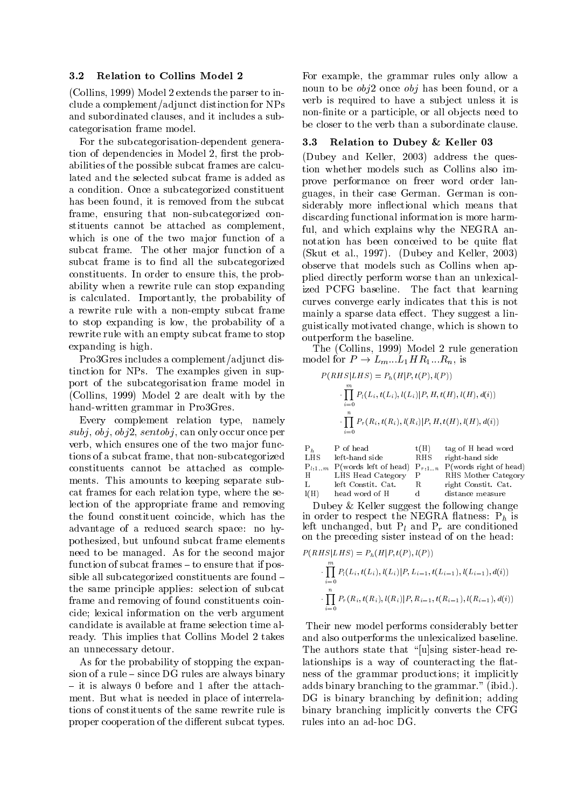#### 3.2 Relation to Collins Model 2

(Collins, 1999) Model 2 extends the parser to include a complement/adjunct distinction for NPs and subordinated clauses, and it includes a subcategorisation frame model.

For the subcategorisation-dependent generation of dependencies in Model 2, first the probabilities of the possible subcat frames are calculated and the selected subcat frame is added as a condition. Once a subcategorized constituent has been found, it is removed from the subcat frame, ensuring that non-subcategorized constituents cannot be attached as complement, which is one of the two major function of a subcat frame. The other major function of a subcat frame is to find all the subcategorized constituents. In order to ensure this, the probability when a rewrite rule can stop expanding is calculated. Importantly, the probability of a rewrite rule with a non-empty subcat frame to stop expanding is low, the probability of a rewrite rule with an empty subcat frame to stop expanding is high.

Pro3Gres includes a complement/adjunct distinction for NPs. The examples given in support of the subcategorisation frame model in (Collins, 1999) Model 2 are dealt with by the hand-written grammar in Pro3Gres.

Every complement relation type, namely  $subj, obj, obj2, sentobj, can only occur once per$ verb, which ensures one of the two major functions of a subcat frame, that non-subcategorized constituents cannot be attached as complements. This amounts to keeping separate subcat frames for each relation type, where the selection of the appropriate frame and removing the found constituent coincide, which has the advantage of a reduced search space: no hypothesized, but unfound subcat frame elements need to be managed. As for the second major function of subcat frames  $-$  to ensure that if possible all subcategorized constituents are found  $$ the same principle applies: selection of subcat frame and removing of found constituents coincide; lexical information on the verb argument candidate is available at frame selection time already. This implies that Collins Model 2 takes an unnecessary detour.

As for the probability of stopping the expansion of a rule  $-$  since DG rules are always binary  $-$  it is always 0 before and 1 after the attachment. But what is needed in place of interrelations of constituents of the same rewrite rule is proper cooperation of the different subcat types.

For example, the grammar rules only allow a noun to be  $obj2$  once  $obj$  has been found, or a verb is required to have a subject unless it is non-finite or a participle, or all objects need to be closer to the verb than a subordinate clause.

## 3.3 Relation to Dubey & Keller 03

(Dubey and Keller, 2003) address the question whether models such as Collins also improve performance on freer word order languages, in their case German. German is considerably more inflectional which means that discarding functional information is more harmful, and which explains why the NEGRA annotation has been conceived to be quite at (Skut et al., 1997). (Dubey and Keller, 2003) observe that models such as Collins when applied directly perform worse than an unlexicalized PCFG baseline. The fact that learning curves converge early indicates that this is not mainly a sparse data effect. They suggest a linguistically motivated change, which is shown to outperform the baseline.

The (Collins, 1999) Model 2 rule generation model for  $P \to L_m...L_1HR_1...R_n$ , is

$$
P(RHS|LHS) = P_h(H|P, t(P), l(P))
$$
  
\n
$$
\cdot \prod_{i=0}^{m} P_l(L_i, t(L_i), l(L_i)|P, H, t(H), l(H), d(i))
$$
  
\n
$$
\cdot \prod_{i=0}^{n} P_r(R_i, t(R_i), l(R_i)|P, H, t(H), l(H), d(i))
$$

| $P_h$ | P of head          | t(H) | tag of H head word                                                 |
|-------|--------------------|------|--------------------------------------------------------------------|
| LHS.  | left-hand side     |      | RHS right-hand side                                                |
|       |                    |      | $P_{l,1m}$ P(words left of head) $P_{r,1n}$ P(words right of head) |
| Н     | LHS Head Category  | P    | RHS Mother Category                                                |
| L.    | left Constit. Cat. | R.   | right Constit. Cat.                                                |
| l(H)  | head word of H     | d.   | distance measure                                                   |

Dubey & Keller suggest the following change in order to respect the NEGRA flatness:  $P_h$  is left unchanged, but  $P_l$  and  $P_r$  are conditioned on the preceding sister instead of on the head:

$$
P(RHS|LHS) = P_h(H|P, t(P), l(P))
$$
  
\n
$$
\cdot \prod_{i=0}^{m} P_l(L_i, t(L_i), l(L_i)|P, L_{i-1}, t(L_{i-1}), l(L_{i-1}), d(i))
$$
  
\n
$$
\cdot \prod_{i=0}^{n} P_r(R_i, t(R_i), l(R_i)|P, R_{i-1}, t(R_{i-1}), l(R_{i-1}), d(i))
$$

Their new model performs considerably better and also outperforms the unlexicalized baseline. The authors state that "[u]sing sister-head relationships is a way of counteracting the flatness of the grammar productions; it implicitly adds binary branching to the grammar." (ibid.). DG is binary branching by definition; adding binary branching implicitly converts the CFG rules into an ad-hoc DG.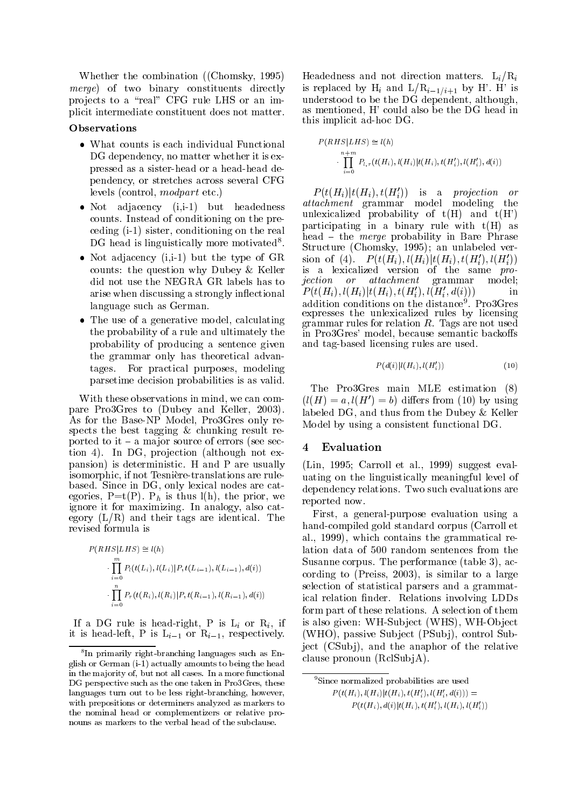Whether the combination ((Chomsky, 1995) merge) of two binary constituents directly projects to a "real" CFG rule LHS or an implicit intermediate constituent does not matter.

#### Observations

- What counts is each individual Functional DG dependency, no matter whether it is expressed as a sister-head or a head-head dependency, or stretches across several CFG levels (control, modpart etc.)
- Not adjacency (i,i-1) but headedness counts. Instead of conditioning on the preceding (i-1) sister, conditioning on the real DG head is linguistically more motivated<sup>8</sup>.
- Not adjacency  $(i, i-1)$  but the type of GR counts: the question why Dubey & Keller did not use the NEGRA GR labels has to arise when discussing a strongly in
ectional language such as German.
- The use of a generative model, calculating the probability of a rule and ultimately the probability of producing a sentence given the grammar only has theoretical advantages. For practical purposes, modeling parsetime decision probabilities is as valid.

With these observations in mind, we can compare Pro3Gres to (Dubey and Keller, 2003). As for the Base-NP Model, Pro3Gres only respects the best tagging & chunking result reported to it  $-$  a major source of errors (see section 4). In DG, projection (although not expansion) is deterministic. H and P are usually isomorphic, if not Tesniere-translations are rulebased. Since in DG, only lexical nodes are categories,  $P=t(P)$ .  $P_h$  is thus  $l(h)$ , the prior, we ignore it for maximizing. In analogy, also category  $(L/R)$  and their tags are identical. The revised formula is

$$
P(RHS|LHS) \cong l(h)
$$
  
\n
$$
\cdot \prod_{i=0}^{m} P_l(t(L_i), l(L_i)|P, t(L_{i-1}), l(L_{i-1}), d(i))
$$
  
\n
$$
\cdot \prod_{i=0}^{n} P_r(t(R_i), l(R_i)|P, t(R_{i-1}), l(R_{i-1}), d(i))
$$

If a DG rule is head-right, P is  $L_i$  or  $R_i$ , if it is head-left, P is  $L_{i-1}$  or  $R_{i-1}$ , respectively.

Headedness and not direction matters.  $L_i/R_i$ is replaced by  $H_i$  and  $L/R_{i-1/i+1}$  by H'. H' is understood to be the DG dependent, although, as mentioned, H' could also be the DG head in this implicit ad-hoc DG.

$$
P(RHS|LHS) \cong l(h)
$$
  

$$
\cdot \prod_{i=0}^{n+m} P_{l,r}(t(H_i), l(H_i)|t(H_i), t(H_i'), l(H_i'), d(i))
$$

 $P(t(H_i)|t(H_i), t(H_i'))$  is a projection or attachment grammar model modeling the unlexicalized probability of  $t(H)$  and  $t(H')$ participating in a binary rule with  $t(H)$  as head  $\overline{\phantom{a}}$  the *merge* probability in Bare Phrase . Structure (Chomsky, 1995); an unlabeled version of (4).  $P(t(H_i), l(H_i)|t(H_i), t(H_i'), l(H_i'))$ is a lexicalized version of the same pro $jection$  or  $attachment$  grammar model:  $P(t(H_i), l(H_i)|t(H_i), t(H_i'), l(H_i', d(i)))$  in addition conditions on the distance<sup>9</sup>. Pro3Gres expresses the unlexicalized rules by licensing  $\mathbf{r}$ in Pro3Gres' model, because semantic backoffs and tag-based licensing rules are used.

$$
P(d(i)|l(H_i), l(H_i'))\tag{10}
$$

The Pro3Gres main MLE estimation (8)  $(l(H) = a, l(H') = b)$  differs from (10) by using labeled DG, and thus from the Dubey & Keller Model by using a consistent functional DG.

#### $\overline{4}$ **Evaluation**

(Lin, 1995; Carroll et al., 1999) suggest evaluating on the linguistically meaningful level of dependency relations. Two such evaluations are reported now.

First, a general-purpose evaluation using a hand-compiled gold standard corpus (Carroll et al., 1999), which contains the grammatical relation data of 500 random sentences from the Susanne corpus. The performance (table 3), according to (Preiss, 2003), is similar to a large selection of statistical parsers and a grammatical relation nder. Relations involving LDDs form part of these relations. A selection of them is also given: WH-Subject (WHS), WH-Object (WHO), passive Subject (PSubj), control Subject (CSubi), and the anaphor of the relative clause pronoun  $(RclSubiA)$ .

<sup>9</sup>Since normalized probabilities are used  $P(t(H_i), t(H_i) | t(H_i), t(H_i), t(H_i, a(t))) =$ 

 $P(t(H_i), d(i)|t(H_i), t(H_i'), l(H_i), l(H_i'))$ 

<sup>8</sup> In primarily right-branching languages such as English or German (i-1) actually amounts to being the head in the ma jority of, but not all cases. In a more functional DG perspective such as the one taken in Pro3Gres, these languages turn out to be less right-branching, however, with prepositions or determiners analyzed as markers to the nominal head or complementizers or relative pronouns as markers to the verbal head of the subclause.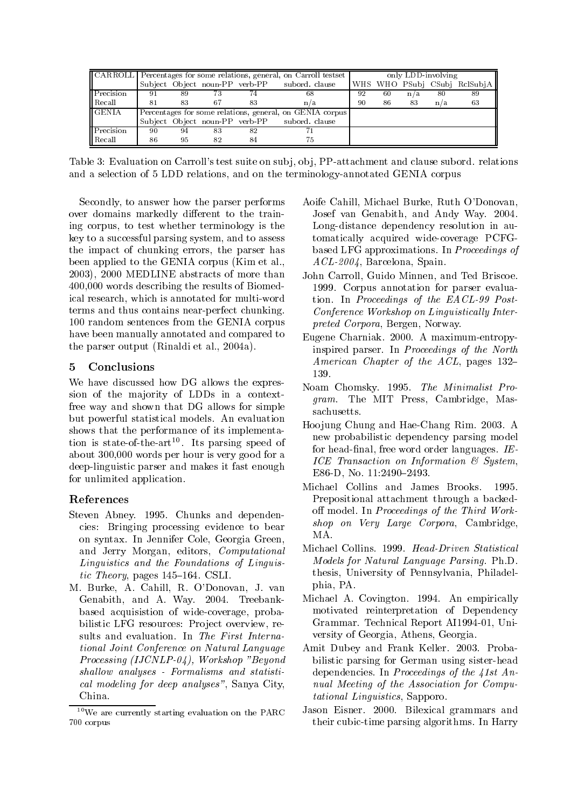|                  | [CARROLL   Percentages for some relations, general, on Carroll testset |    |    |    |                                              | only LDD-involving |    |     |     |                              |
|------------------|------------------------------------------------------------------------|----|----|----|----------------------------------------------|--------------------|----|-----|-----|------------------------------|
|                  |                                                                        |    |    |    | Subject Object noun-PP verb-PP subord clause |                    |    |     |     | WHS WHO PSubj CSubj RclSubjA |
| Precision        | -91                                                                    | 89 | 73 | 74 | 68                                           | 92                 | 60 | n/a | -80 | 89                           |
| Recall           | 81                                                                     | 83 | 67 | 83 | n/a                                          | 90                 | 86 | 83  | n/a | 63                           |
| <b>GENIA</b>     | Percentages for some relations, general, on GENIA corpus               |    |    |    |                                              |                    |    |     |     |                              |
|                  |                                                                        |    |    |    | Subject Object noun-PP verb-PP subord clause |                    |    |     |     |                              |
| <b>Precision</b> | -90                                                                    | 94 | 83 | 82 |                                              |                    |    |     |     |                              |
| Recall           | 86                                                                     | 95 | 82 | 84 |                                              |                    |    |     |     |                              |

Table 3: Evaluation on Carroll's test suite on subj, obj, PP-attachment and clause subord. relations and a selection of 5 LDD relations, and on the terminology-annotated GENIA corpus

Secondly, to answer how the parser performs over domains markedly different to the training corpus, to test whether terminology is the key to a successful parsing system, and to assess the impact of chunking errors, the parser has been applied to the GENIA corpus (Kim et al., 2003), 2000 MEDLINE abstracts of more than 400,000 words describing the results of Biomedical research, which is annotated for multi-word terms and thus contains near-perfect chunking. 100 random sentences from the GENIA corpus have been manually annotated and compared to the parser output (Rinaldi et al., 2004a).

#### 5 **Conclusions**

We have discussed how DG allows the expression of the majority of LDDs in a contextfree way and shown that DG allows for simple but powerful statistical models. An evaluation shows that the performance of its implementa- $\mu$  is state-of-the-art<sup>--</sup>. Its parsing speed of  $\mu$ about 300,000 words per hour is very good for a deep-linguistic parser and makes it fast enough for unlimited application.

## References

- Steven Abney. 1995. Chunks and dependencies: Bringing processing evidence to bear on syntax. In Jennifer Cole, Georgia Green, and Jerry Morgan, editors, Computational Linguistics and the Foundations of Linguistic Theory, pages  $145-164$ . CSLI.
- M. Burke, A. Cahill, R. O'Donovan, J. van Genabith, and A. Way. 2004. Treebankbased acquisistion of wide-coverage, probabilistic LFG resources: Project overview, results and evaluation. In The First International Joint Conference on Natural Language Processing (IJCNLP-04), Workshop "Beyond shallow analyses - Formalisms and statistical modeling for deep analyses", Sanya City, China.
- Aoife Cahill, Michael Burke, Ruth O'Donovan, Josef van Genabith, and Andy Way. 2004. Long-distance dependency resolution in automatically acquired wide-coverage PCFGbased LFG approximations. In Proceedings of ACL-2004, Barcelona, Spain.
- John Carroll, Guido Minnen, and Ted Briscoe. 1999. Corpus annotation for parser evaluation. In Proceedings of the EACL-99 Post-Conference Workshop on Linguistically Interpreted Corpora, Bergen, Norway.
- Eugene Charniak. 2000. A maximum-entropyinspired parser. In Proceedings of the North American Chapter of the  $ACL$ , pages 132-139.
- Noam Chomsky. 1995. The Minimalist Program. The MIT Press, Cambridge, Massachusetts.
- Hoojung Chung and Hae-Chang Rim. 2003. A new probabilistic dependency parsing model for head-final, free word order languages.  $IE$ -ICE Transaction on Information & System, E86-D, No. 11:2490-2493.
- Michael Collins and James Brooks. 1995. Prepositional attachment through a backedoff model. In Proceedings of the Third Workshop on Very Large Corpora, Cambridge, MA.
- Michael Collins. 1999. Head-Driven Statistical Models for Natural Language Parsing. Ph.D. thesis, University of Pennsylvania, Philadelphia, PA.
- Michael A. Covington. 1994. An empirically motivated reinterpretation of Dependency Grammar. Technical Report AI1994-01, University of Georgia, Athens, Georgia.
- Amit Dubey and Frank Keller. 2003. Probabilistic parsing for German using sister-head dependencies. In Proceedings of the 41st Annual Meeting of the Association for Computational Linguistics, Sapporo.
- Jason Eisner. 2000. Bilexical grammars and their cubic-time parsing algorithms. In Harry

<sup>10</sup>We are currently starting evaluation on the PARC 700 corpus